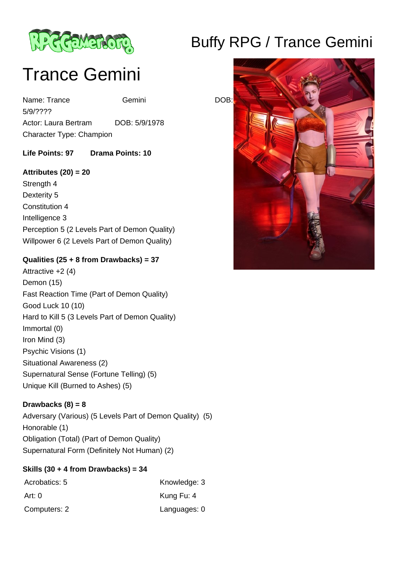

# Trance Gemini

Name: Trance Gemini Gemini DOB: 5/9/???? Actor: Laura Bertram DOB: 5/9/1978 Character Type: Champion

**Life Points: 97 Drama Points: 10** 

#### **Attributes (20) = 20**

Strength 4 Dexterity 5 Constitution 4 Intelligence 3 Perception 5 (2 Levels Part of Demon Quality) Willpower 6 (2 Levels Part of Demon Quality)

### **Qualities (25 + 8 from Drawbacks) = 37**

Attractive +2 (4) Demon (15) Fast Reaction Time (Part of Demon Quality) Good Luck 10 (10) Hard to Kill 5 (3 Levels Part of Demon Quality) Immortal (0) Iron Mind (3) Psychic Visions (1) Situational Awareness (2) Supernatural Sense (Fortune Telling) (5) Unique Kill (Burned to Ashes) (5)

# **Drawbacks (8) = 8**

Adversary (Various) (5 Levels Part of Demon Quality) (5) Honorable (1) Obligation (Total) (Part of Demon Quality) Supernatural Form (Definitely Not Human) (2)

# **Skills (30 + 4 from Drawbacks) = 34**

| Acrobatics: 5 | Knowledge: 3 |
|---------------|--------------|
| Art: 0        | Kung Fu: 4   |
| Computers: 2  | Languages: 0 |

# Buffy RPG / Trance Gemini

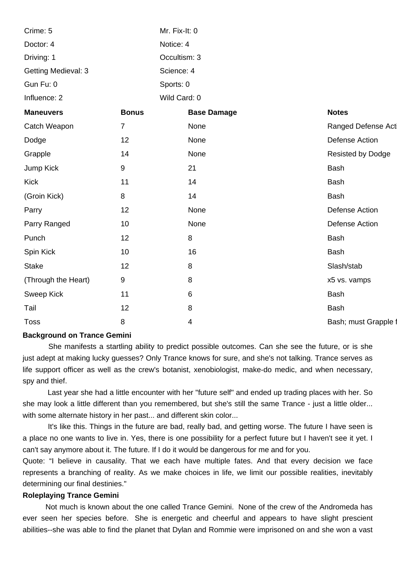| Crime: 5                   |                  | Mr. Fix-It: 0      |                          |
|----------------------------|------------------|--------------------|--------------------------|
| Doctor: 4                  |                  | Notice: 4          |                          |
| Driving: 1                 |                  | Occultism: 3       |                          |
| <b>Getting Medieval: 3</b> |                  | Science: 4         |                          |
| Gun Fu: 0                  |                  | Sports: 0          |                          |
| Influence: 2               |                  | Wild Card: 0       |                          |
| <b>Maneuvers</b>           | <b>Bonus</b>     | <b>Base Damage</b> | <b>Notes</b>             |
| Catch Weapon               | $\overline{7}$   | None               | Ranged Defense Act       |
| Dodge                      | 12               | None               | Defense Action           |
| Grapple                    | 14               | None               | <b>Resisted by Dodge</b> |
| Jump Kick                  | $\boldsymbol{9}$ | 21                 | <b>Bash</b>              |
| <b>Kick</b>                | 11               | 14                 | <b>Bash</b>              |
| (Groin Kick)               | 8                | 14                 | Bash                     |
| Parry                      | 12               | None               | Defense Action           |
| Parry Ranged               | 10               | None               | <b>Defense Action</b>    |
| Punch                      | 12               | $\,8\,$            | Bash                     |
| Spin Kick                  | 10               | 16                 | Bash                     |
| <b>Stake</b>               | 12               | 8                  | Slash/stab               |
| (Through the Heart)        | 9                | 8                  | x5 vs. vamps             |
| <b>Sweep Kick</b>          | 11               | $\,6$              | <b>Bash</b>              |
| Tail                       | 12               | $\,8\,$            | <b>Bash</b>              |
| <b>Toss</b>                | 8                | 4                  | Bash; must Grapple f     |
|                            |                  |                    |                          |

#### **Background on Trance Gemini**

 She manifests a startling ability to predict possible outcomes. Can she see the future, or is she just adept at making lucky guesses? Only Trance knows for sure, and she's not talking. Trance serves as life support officer as well as the crew's botanist, xenobiologist, make-do medic, and when necessary, spy and thief.

 Last year she had a little encounter with her "future self" and ended up trading places with her. So she may look a little different than you remembered, but she's still the same Trance - just a little older... with some alternate history in her past... and different skin color...

 It's like this. Things in the future are bad, really bad, and getting worse. The future I have seen is a place no one wants to live in. Yes, there is one possibility for a perfect future but I haven't see it yet. I can't say anymore about it. The future. If I do it would be dangerous for me and for you.

Quote: "I believe in causality. That we each have multiple fates. And that every decision we face represents a branching of reality. As we make choices in life, we limit our possible realities, inevitably determining our final destinies."

#### **Roleplaying Trance Gemini**

 Not much is known about the one called Trance Gemini. None of the crew of the Andromeda has ever seen her species before. She is energetic and cheerful and appears to have slight prescient abilities--she was able to find the planet that Dylan and Rommie were imprisoned on and she won a vast